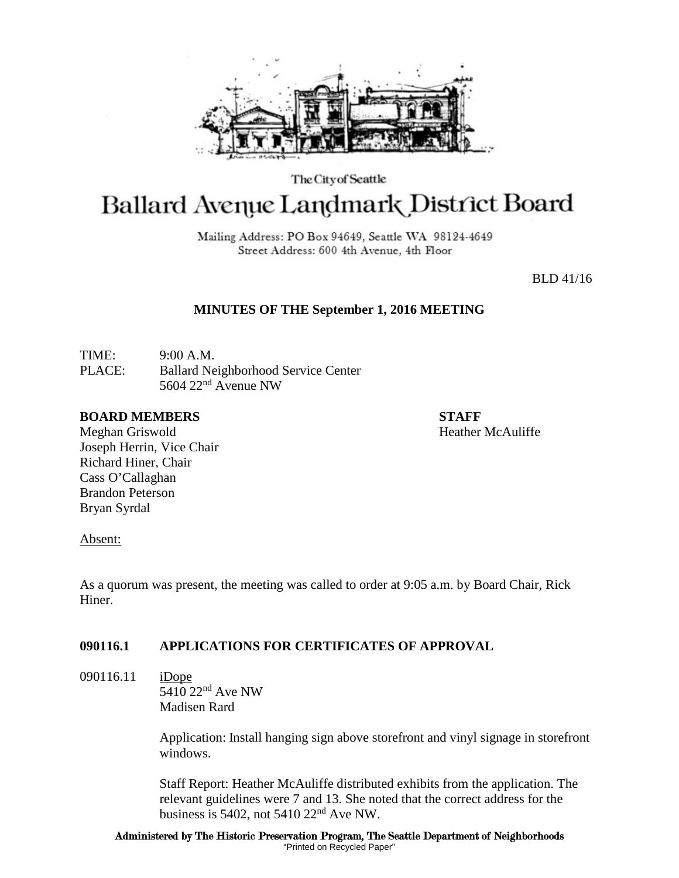

The City of Seattle

# **Ballard Avenue Landmark District Board**

Mailing Address: PO Box 94649, Seattle WA 98124-4649 Street Address: 600 4th Avenue, 4th Floor

BLD 41/16

# **MINUTES OF THE September 1, 2016 MEETING**

TIME: 9:00 A.M. PLACE: Ballard Neighborhood Service Center 5604 22nd Avenue NW

## **BOARD MEMBERS STAFF**

Meghan Griswold **Heather McAuliffe** Joseph Herrin, Vice Chair Richard Hiner, Chair Cass O'Callaghan Brandon Peterson Bryan Syrdal

#### Absent:

As a quorum was present, the meeting was called to order at 9:05 a.m. by Board Chair, Rick Hiner.

# **090116.1 APPLICATIONS FOR CERTIFICATES OF APPROVAL**

090116.11 iDope 5410 22<sup>nd</sup> Ave NW Madisen Rard

> Application: Install hanging sign above storefront and vinyl signage in storefront windows.

Staff Report: Heather McAuliffe distributed exhibits from the application. The relevant guidelines were 7 and 13. She noted that the correct address for the business is 5402, not 5410  $22<sup>nd</sup>$  Ave NW.

Administered by The Historic Preservation Program, The Seattle Department of Neighborhoods "Printed on Recycled Paper"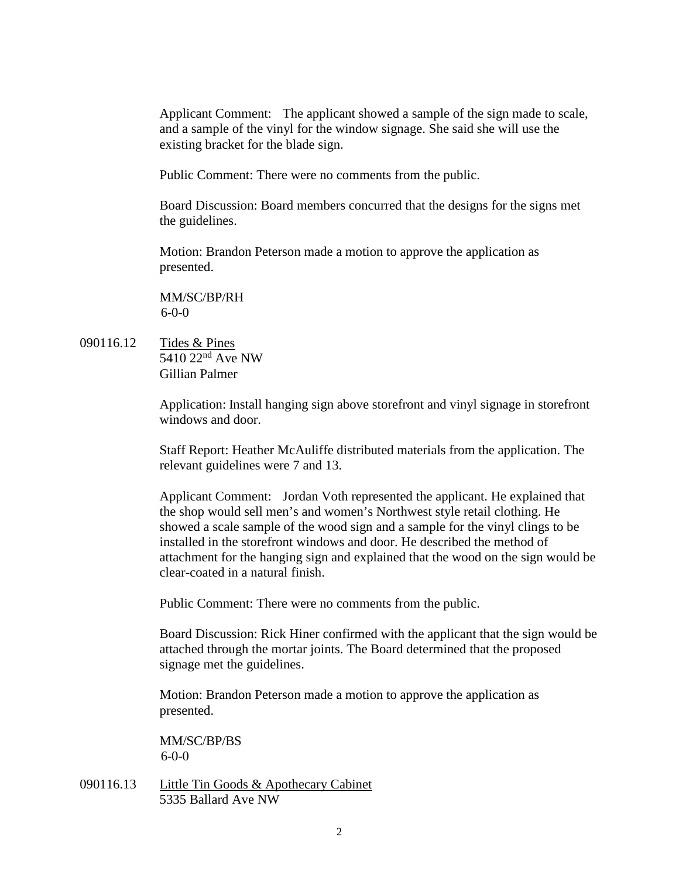Applicant Comment: The applicant showed a sample of the sign made to scale, and a sample of the vinyl for the window signage. She said she will use the existing bracket for the blade sign.

Public Comment: There were no comments from the public.

Board Discussion: Board members concurred that the designs for the signs met the guidelines.

Motion: Brandon Peterson made a motion to approve the application as presented.

MM/SC/BP/RH 6-0-0

090116.12 Tides & Pines  $\overline{5410\ 22^{nd}$  Ave NW Gillian Palmer

> Application: Install hanging sign above storefront and vinyl signage in storefront windows and door.

Staff Report: Heather McAuliffe distributed materials from the application. The relevant guidelines were 7 and 13.

Applicant Comment: Jordan Voth represented the applicant. He explained that the shop would sell men's and women's Northwest style retail clothing. He showed a scale sample of the wood sign and a sample for the vinyl clings to be installed in the storefront windows and door. He described the method of attachment for the hanging sign and explained that the wood on the sign would be clear-coated in a natural finish.

Public Comment: There were no comments from the public.

Board Discussion: Rick Hiner confirmed with the applicant that the sign would be attached through the mortar joints. The Board determined that the proposed signage met the guidelines.

Motion: Brandon Peterson made a motion to approve the application as presented.

MM/SC/BP/BS 6-0-0

090116.13 Little Tin Goods & Apothecary Cabinet 5335 Ballard Ave NW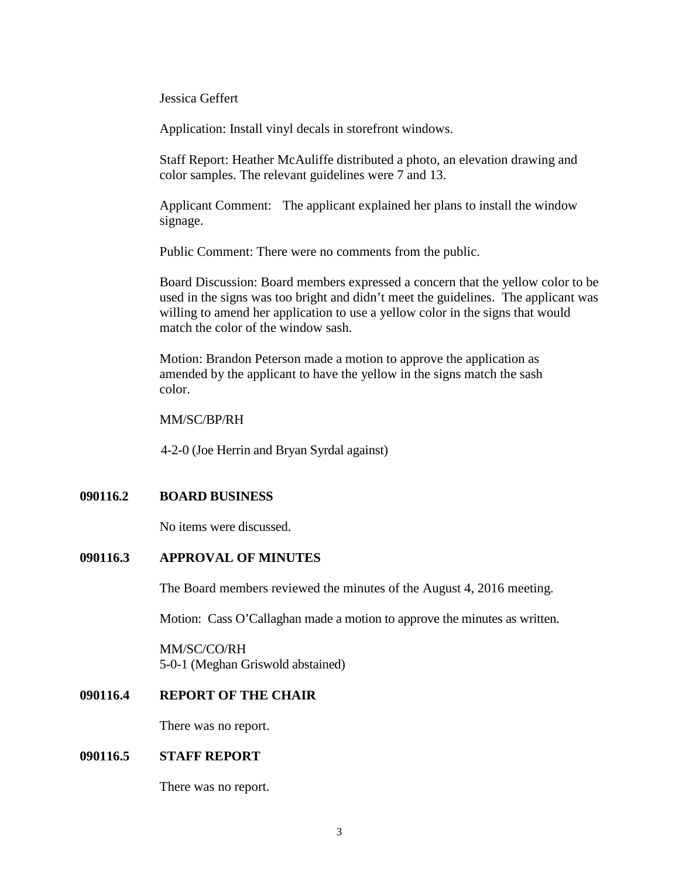Jessica Geffert

Application: Install vinyl decals in storefront windows.

Staff Report: Heather McAuliffe distributed a photo, an elevation drawing and color samples. The relevant guidelines were 7 and 13.

Applicant Comment: The applicant explained her plans to install the window signage.

Public Comment: There were no comments from the public.

Board Discussion: Board members expressed a concern that the yellow color to be used in the signs was too bright and didn't meet the guidelines. The applicant was willing to amend her application to use a yellow color in the signs that would match the color of the window sash.

Motion: Brandon Peterson made a motion to approve the application as amended by the applicant to have the yellow in the signs match the sash color.

MM/SC/BP/RH

4-2-0 (Joe Herrin and Bryan Syrdal against)

### **090116.2 BOARD BUSINESS**

No items were discussed.

## **090116.3 APPROVAL OF MINUTES**

The Board members reviewed the minutes of the August 4, 2016 meeting.

Motion: Cass O'Callaghan made a motion to approve the minutes as written.

MM/SC/CO/RH 5-0-1 (Meghan Griswold abstained)

## **090116.4 REPORT OF THE CHAIR**

There was no report.

## **090116.5 STAFF REPORT**

There was no report.